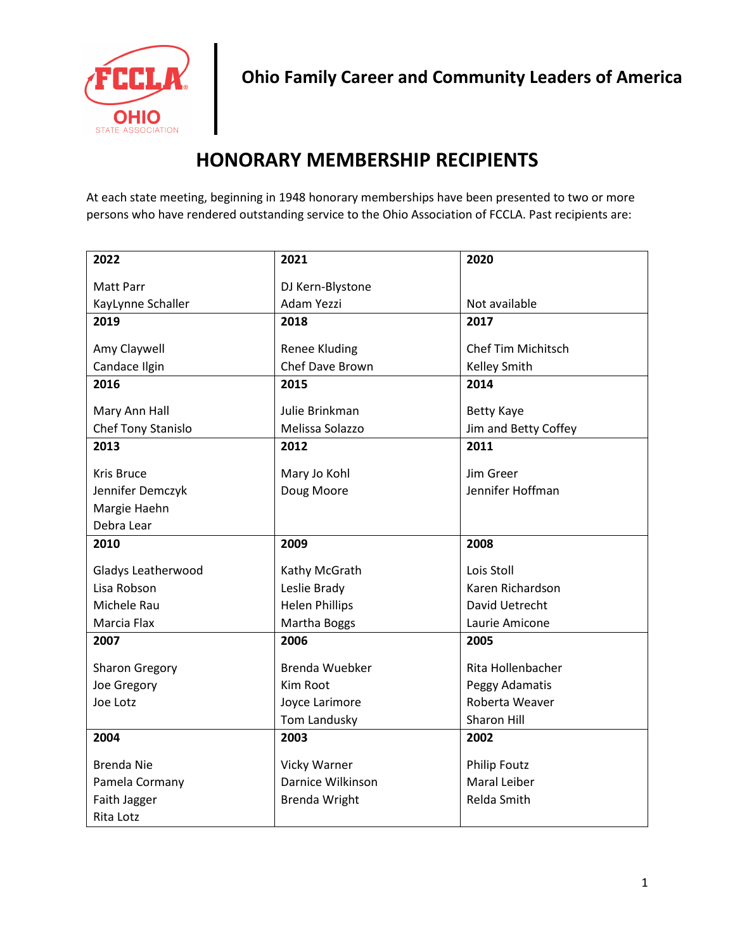

## **HONORARY MEMBERSHIP RECIPIENTS**

At each state meeting, beginning in 1948 honorary memberships have been presented to two or more persons who have rendered outstanding service to the Ohio Association of FCCLA. Past recipients are:

| 2022                      | 2021                  | 2020                      |
|---------------------------|-----------------------|---------------------------|
| <b>Matt Parr</b>          | DJ Kern-Blystone      |                           |
| KayLynne Schaller         | Adam Yezzi            | Not available             |
| 2019                      | 2018                  | 2017                      |
|                           |                       |                           |
| Amy Claywell              | <b>Renee Kluding</b>  | <b>Chef Tim Michitsch</b> |
| Candace Ilgin             | Chef Dave Brown       | <b>Kelley Smith</b>       |
| 2016                      | 2015                  | 2014                      |
| Mary Ann Hall             | Julie Brinkman        | Betty Kaye                |
| Chef Tony Stanislo        | Melissa Solazzo       | Jim and Betty Coffey      |
| 2013                      | 2012                  | 2011                      |
| Kris Bruce                | Mary Jo Kohl          | Jim Greer                 |
| Jennifer Demczyk          | Doug Moore            | Jennifer Hoffman          |
| Margie Haehn              |                       |                           |
| Debra Lear                |                       |                           |
| 2010                      | 2009                  | 2008                      |
|                           |                       |                           |
|                           |                       |                           |
| Gladys Leatherwood        | Kathy McGrath         | Lois Stoll                |
| Lisa Robson               | Leslie Brady          | Karen Richardson          |
| Michele Rau               | <b>Helen Phillips</b> | David Uetrecht            |
| Marcia Flax               | Martha Boggs          | Laurie Amicone            |
| 2007                      | 2006                  | 2005                      |
|                           |                       |                           |
| <b>Sharon Gregory</b>     | Brenda Wuebker        | Rita Hollenbacher         |
| Joe Gregory               | Kim Root              | Peggy Adamatis            |
| Joe Lotz                  | Joyce Larimore        | Roberta Weaver            |
|                           | Tom Landusky          | Sharon Hill               |
| 2004                      | 2003                  | 2002                      |
| <b>Brenda Nie</b>         | Vicky Warner          | <b>Philip Foutz</b>       |
| Pamela Cormany            | Darnice Wilkinson     | Maral Leiber              |
| Faith Jagger<br>Rita Lotz | <b>Brenda Wright</b>  | Relda Smith               |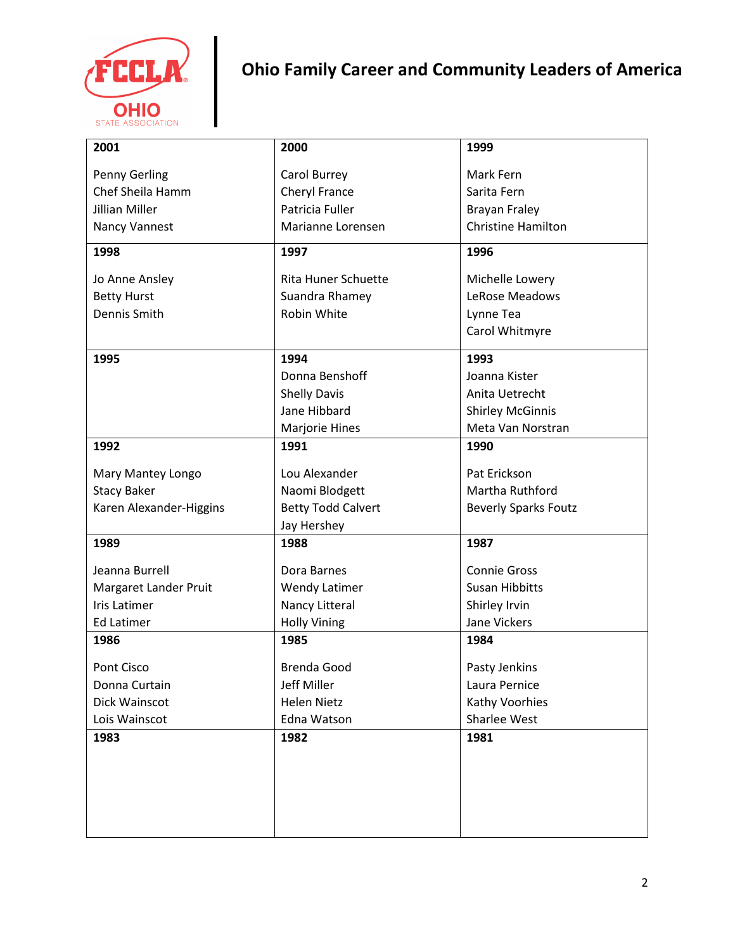

## **Ohio Family Career and Community Leaders of America**

| 2001                    | 2000                       | 1999                        |
|-------------------------|----------------------------|-----------------------------|
| Penny Gerling           | Carol Burrey               | Mark Fern                   |
| Chef Sheila Hamm        | Cheryl France              | Sarita Fern                 |
| <b>Jillian Miller</b>   | Patricia Fuller            | <b>Brayan Fraley</b>        |
| Nancy Vannest           | Marianne Lorensen          | <b>Christine Hamilton</b>   |
| 1998                    | 1997                       | 1996                        |
| Jo Anne Ansley          | <b>Rita Huner Schuette</b> | Michelle Lowery             |
| <b>Betty Hurst</b>      | Suandra Rhamey             | LeRose Meadows              |
| Dennis Smith            | Robin White                | Lynne Tea                   |
|                         |                            | Carol Whitmyre              |
| 1995                    | 1994                       | 1993                        |
|                         | Donna Benshoff             | Joanna Kister               |
|                         | <b>Shelly Davis</b>        | Anita Uetrecht              |
|                         | Jane Hibbard               | <b>Shirley McGinnis</b>     |
|                         | Marjorie Hines             | Meta Van Norstran           |
| 1992                    | 1991                       | 1990                        |
| Mary Mantey Longo       | Lou Alexander              | Pat Erickson                |
| <b>Stacy Baker</b>      | Naomi Blodgett             | Martha Ruthford             |
| Karen Alexander-Higgins | <b>Betty Todd Calvert</b>  | <b>Beverly Sparks Foutz</b> |
|                         | Jay Hershey                |                             |
| 1989                    | 1988                       | 1987                        |
| Jeanna Burrell          | Dora Barnes                | <b>Connie Gross</b>         |
| Margaret Lander Pruit   | <b>Wendy Latimer</b>       | <b>Susan Hibbitts</b>       |
| <b>Iris Latimer</b>     | Nancy Litteral             | Shirley Irvin               |
| <b>Ed Latimer</b>       | <b>Holly Vining</b>        | Jane Vickers                |
| 1986                    | 1985                       | 1984                        |
| Pont Cisco              | <b>Brenda Good</b>         | Pasty Jenkins               |
| Donna Curtain           | Jeff Miller                | Laura Pernice               |
| Dick Wainscot           | <b>Helen Nietz</b>         | Kathy Voorhies              |
| Lois Wainscot           | Edna Watson                | Sharlee West                |
| 1983                    | 1982                       | 1981                        |
|                         |                            |                             |
|                         |                            |                             |
|                         |                            |                             |
|                         |                            |                             |
|                         |                            |                             |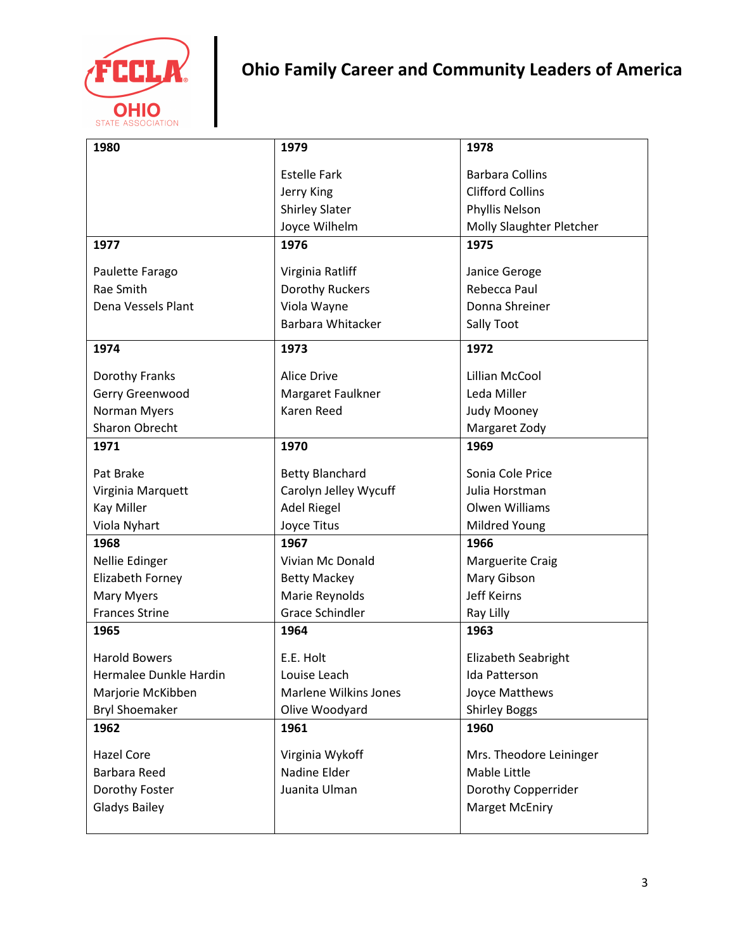

**Ohio Family Career and Community Leaders of America**

| 1980                   | 1979                         | 1978                     |
|------------------------|------------------------------|--------------------------|
|                        | <b>Estelle Fark</b>          | <b>Barbara Collins</b>   |
|                        | Jerry King                   | <b>Clifford Collins</b>  |
|                        | <b>Shirley Slater</b>        | Phyllis Nelson           |
|                        | Joyce Wilhelm                | Molly Slaughter Pletcher |
| 1977                   | 1976                         | 1975                     |
| Paulette Farago        | Virginia Ratliff             | Janice Geroge            |
| Rae Smith              | Dorothy Ruckers              | Rebecca Paul             |
| Dena Vessels Plant     | Viola Wayne                  | Donna Shreiner           |
|                        | Barbara Whitacker            | Sally Toot               |
| 1974                   | 1973                         | 1972                     |
| Dorothy Franks         | <b>Alice Drive</b>           | Lillian McCool           |
| Gerry Greenwood        | Margaret Faulkner            | Leda Miller              |
| <b>Norman Myers</b>    | <b>Karen Reed</b>            | Judy Mooney              |
| Sharon Obrecht         |                              | Margaret Zody            |
| 1971                   | 1970                         | 1969                     |
| Pat Brake              | <b>Betty Blanchard</b>       | Sonia Cole Price         |
| Virginia Marquett      | Carolyn Jelley Wycuff        | Julia Horstman           |
| <b>Kay Miller</b>      | <b>Adel Riegel</b>           | Olwen Williams           |
| Viola Nyhart           | Joyce Titus                  | Mildred Young            |
| 1968                   | 1967                         | 1966                     |
| Nellie Edinger         | Vivian Mc Donald             | <b>Marguerite Craig</b>  |
| Elizabeth Forney       | <b>Betty Mackey</b>          | Mary Gibson              |
| Mary Myers             | Marie Reynolds               | <b>Jeff Keirns</b>       |
| <b>Frances Strine</b>  | <b>Grace Schindler</b>       | Ray Lilly                |
| 1965                   | 1964                         | 1963                     |
| <b>Harold Bowers</b>   | E.E. Holt                    | Elizabeth Seabright      |
| Hermalee Dunkle Hardin | Louise Leach                 | Ida Patterson            |
| Marjorie McKibben      | <b>Marlene Wilkins Jones</b> | Joyce Matthews           |
| <b>Bryl Shoemaker</b>  | Olive Woodyard               | <b>Shirley Boggs</b>     |
| 1962                   | 1961                         | 1960                     |
| <b>Hazel Core</b>      | Virginia Wykoff              | Mrs. Theodore Leininger  |
| <b>Barbara Reed</b>    | Nadine Elder                 | <b>Mable Little</b>      |
| Dorothy Foster         | Juanita Ulman                | Dorothy Copperrider      |
| <b>Gladys Bailey</b>   |                              | <b>Marget McEniry</b>    |
|                        |                              |                          |